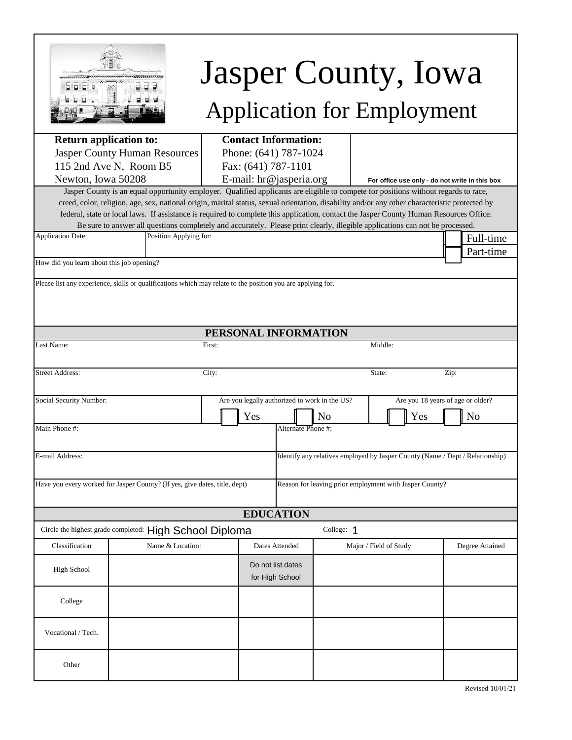

# Jasper County, Iowa Application for Employment

| <b>Return application to:</b>                                                                                                         | <b>Contact Information:</b>                                                                                                                                                                                                                                                               |        |                         |                       |                                                |                        |     |                                                                               |
|---------------------------------------------------------------------------------------------------------------------------------------|-------------------------------------------------------------------------------------------------------------------------------------------------------------------------------------------------------------------------------------------------------------------------------------------|--------|-------------------------|-----------------------|------------------------------------------------|------------------------|-----|-------------------------------------------------------------------------------|
| <b>Jasper County Human Resources</b>                                                                                                  |                                                                                                                                                                                                                                                                                           |        |                         | Phone: (641) 787-1024 |                                                |                        |     |                                                                               |
| 115 2nd Ave N, Room B5                                                                                                                | Fax: (641) 787-1101                                                                                                                                                                                                                                                                       |        |                         |                       |                                                |                        |     |                                                                               |
| Newton, Iowa 50208                                                                                                                    |                                                                                                                                                                                                                                                                                           |        | E-mail: hr@jasperia.org |                       | For office use only - do not write in this box |                        |     |                                                                               |
|                                                                                                                                       | Jasper County is an equal opportunity employer. Qualified applicants are eligible to compete for positions without regards to race,                                                                                                                                                       |        |                         |                       |                                                |                        |     |                                                                               |
|                                                                                                                                       | creed, color, religion, age, sex, national origin, marital status, sexual orientation, disability and/or any other characteristic protected by<br>federal, state or local laws. If assistance is required to complete this application, contact the Jasper County Human Resources Office. |        |                         |                       |                                                |                        |     |                                                                               |
|                                                                                                                                       | Be sure to answer all questions completely and accurately. Please print clearly, illegible applications can not be processed.                                                                                                                                                             |        |                         |                       |                                                |                        |     |                                                                               |
| <b>Application Date:</b>                                                                                                              | Position Applying for:                                                                                                                                                                                                                                                                    |        |                         |                       |                                                |                        |     | Full-time                                                                     |
|                                                                                                                                       |                                                                                                                                                                                                                                                                                           |        |                         |                       |                                                |                        |     | Part-time                                                                     |
| How did you learn about this job opening?                                                                                             |                                                                                                                                                                                                                                                                                           |        |                         |                       |                                                |                        |     |                                                                               |
|                                                                                                                                       | Please list any experience, skills or qualifications which may relate to the position you are applying for.                                                                                                                                                                               |        |                         |                       |                                                |                        |     |                                                                               |
|                                                                                                                                       |                                                                                                                                                                                                                                                                                           |        |                         |                       |                                                |                        |     |                                                                               |
|                                                                                                                                       |                                                                                                                                                                                                                                                                                           |        |                         |                       |                                                |                        |     |                                                                               |
|                                                                                                                                       |                                                                                                                                                                                                                                                                                           |        |                         |                       |                                                |                        |     |                                                                               |
|                                                                                                                                       |                                                                                                                                                                                                                                                                                           |        |                         | PERSONAL INFORMATION  |                                                |                        |     |                                                                               |
| Last Name:                                                                                                                            |                                                                                                                                                                                                                                                                                           | First: |                         |                       |                                                | Middle:                |     |                                                                               |
|                                                                                                                                       |                                                                                                                                                                                                                                                                                           |        |                         |                       |                                                |                        |     |                                                                               |
| <b>Street Address:</b>                                                                                                                |                                                                                                                                                                                                                                                                                           | City:  |                         |                       |                                                | State:                 |     | Zip:                                                                          |
|                                                                                                                                       |                                                                                                                                                                                                                                                                                           |        |                         |                       |                                                |                        |     |                                                                               |
| Social Security Number:                                                                                                               |                                                                                                                                                                                                                                                                                           |        |                         |                       | Are you legally authorized to work in the US?  |                        |     | Are you 18 years of age or older?                                             |
|                                                                                                                                       |                                                                                                                                                                                                                                                                                           |        | Yes                     |                       | N <sub>o</sub>                                 |                        | Yes | N <sub>o</sub>                                                                |
| Main Phone #:                                                                                                                         |                                                                                                                                                                                                                                                                                           |        |                         | Alternate Phone #:    |                                                |                        |     |                                                                               |
|                                                                                                                                       |                                                                                                                                                                                                                                                                                           |        |                         |                       |                                                |                        |     |                                                                               |
| E-mail Address:                                                                                                                       |                                                                                                                                                                                                                                                                                           |        |                         |                       |                                                |                        |     | Identify any relatives employed by Jasper County (Name / Dept / Relationship) |
|                                                                                                                                       |                                                                                                                                                                                                                                                                                           |        |                         |                       |                                                |                        |     |                                                                               |
| Have you every worked for Jasper County? (If yes, give dates, title, dept)<br>Reason for leaving prior employment with Jasper County? |                                                                                                                                                                                                                                                                                           |        |                         |                       |                                                |                        |     |                                                                               |
|                                                                                                                                       |                                                                                                                                                                                                                                                                                           |        |                         |                       |                                                |                        |     |                                                                               |
|                                                                                                                                       |                                                                                                                                                                                                                                                                                           |        |                         | <b>EDUCATION</b>      |                                                |                        |     |                                                                               |
|                                                                                                                                       | Circle the highest grade completed: High School Diploma                                                                                                                                                                                                                                   |        |                         |                       | College: 1                                     |                        |     |                                                                               |
| Classification                                                                                                                        | Name & Location:                                                                                                                                                                                                                                                                          |        |                         | Dates Attended        |                                                | Major / Field of Study |     | Degree Attained                                                               |
|                                                                                                                                       |                                                                                                                                                                                                                                                                                           |        |                         |                       |                                                |                        |     |                                                                               |
| High School                                                                                                                           |                                                                                                                                                                                                                                                                                           |        |                         | Do not list dates     |                                                |                        |     |                                                                               |
|                                                                                                                                       |                                                                                                                                                                                                                                                                                           |        |                         | for High School       |                                                |                        |     |                                                                               |
|                                                                                                                                       |                                                                                                                                                                                                                                                                                           |        |                         |                       |                                                |                        |     |                                                                               |
| College                                                                                                                               |                                                                                                                                                                                                                                                                                           |        |                         |                       |                                                |                        |     |                                                                               |
|                                                                                                                                       |                                                                                                                                                                                                                                                                                           |        |                         |                       |                                                |                        |     |                                                                               |
| Vocational / Tech.                                                                                                                    |                                                                                                                                                                                                                                                                                           |        |                         |                       |                                                |                        |     |                                                                               |
|                                                                                                                                       |                                                                                                                                                                                                                                                                                           |        |                         |                       |                                                |                        |     |                                                                               |
| Other                                                                                                                                 |                                                                                                                                                                                                                                                                                           |        |                         |                       |                                                |                        |     |                                                                               |
|                                                                                                                                       |                                                                                                                                                                                                                                                                                           |        |                         |                       |                                                |                        |     |                                                                               |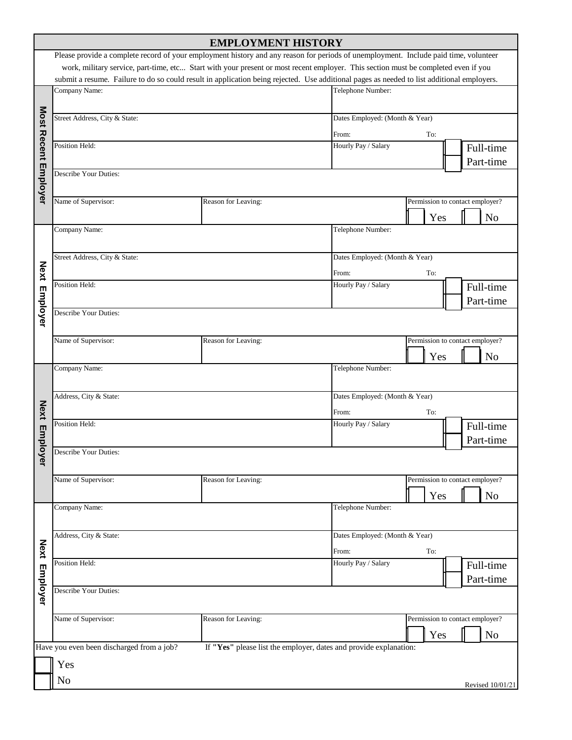|                      |                                                                                                                                                             | <b>EMPLOYMENT HISTORY</b>                                         |                                  |                                 |                  |  |
|----------------------|-------------------------------------------------------------------------------------------------------------------------------------------------------------|-------------------------------------------------------------------|----------------------------------|---------------------------------|------------------|--|
|                      | Please provide a complete record of your employment history and any reason for periods of unemployment. Include paid time, volunteer                        |                                                                   |                                  |                                 |                  |  |
|                      | work, military service, part-time, etc Start with your present or most recent employer. This section must be completed even if you                          |                                                                   |                                  |                                 |                  |  |
|                      | submit a resume. Failure to do so could result in application being rejected. Use additional pages as needed to list additional employers.<br>Company Name: |                                                                   |                                  |                                 |                  |  |
|                      |                                                                                                                                                             | Telephone Number:                                                 |                                  |                                 |                  |  |
|                      |                                                                                                                                                             |                                                                   |                                  |                                 |                  |  |
|                      | Street Address, City & State:                                                                                                                               | Dates Employed: (Month & Year)                                    |                                  |                                 |                  |  |
|                      |                                                                                                                                                             | From:<br>To:                                                      |                                  |                                 |                  |  |
|                      | Position Held:                                                                                                                                              | Hourly Pay / Salary                                               |                                  | Full-time                       |                  |  |
| Most Recent Employer |                                                                                                                                                             |                                                                   |                                  | Part-time                       |                  |  |
|                      | Describe Your Duties:                                                                                                                                       |                                                                   |                                  |                                 |                  |  |
|                      |                                                                                                                                                             |                                                                   |                                  |                                 |                  |  |
|                      | Name of Supervisor:                                                                                                                                         | Reason for Leaving:                                               |                                  | Permission to contact employer? |                  |  |
|                      |                                                                                                                                                             |                                                                   |                                  | Yes                             | N <sub>o</sub>   |  |
|                      | Company Name:                                                                                                                                               |                                                                   | Telephone Number:                |                                 |                  |  |
|                      |                                                                                                                                                             |                                                                   |                                  |                                 |                  |  |
|                      | Street Address, City & State:                                                                                                                               |                                                                   | Dates Employed: (Month & Year)   |                                 |                  |  |
| <b>Next</b>          |                                                                                                                                                             |                                                                   | From:<br>To:                     |                                 |                  |  |
|                      | Position Held:                                                                                                                                              |                                                                   | Hourly Pay / Salary              |                                 | Full-time        |  |
|                      |                                                                                                                                                             |                                                                   | Part-time                        |                                 |                  |  |
| <b>Employer</b>      | <b>Describe Your Duties:</b>                                                                                                                                |                                                                   |                                  |                                 |                  |  |
|                      |                                                                                                                                                             |                                                                   |                                  |                                 |                  |  |
|                      | Name of Supervisor:                                                                                                                                         | Reason for Leaving:                                               |                                  | Permission to contact employer? |                  |  |
|                      |                                                                                                                                                             |                                                                   |                                  | Yes                             | N <sub>o</sub>   |  |
|                      | Company Name:                                                                                                                                               |                                                                   | Telephone Number:                |                                 |                  |  |
|                      |                                                                                                                                                             |                                                                   |                                  |                                 |                  |  |
|                      | Address, City & State:                                                                                                                                      |                                                                   | Dates Employed: (Month & Year)   |                                 |                  |  |
| <b>Next</b>          |                                                                                                                                                             |                                                                   | From:<br>To:                     |                                 |                  |  |
|                      | Position Held:                                                                                                                                              |                                                                   | Hourly Pay / Salary<br>Full-time |                                 |                  |  |
| Emplo                |                                                                                                                                                             | Part-time                                                         |                                  |                                 |                  |  |
|                      | Describe Your Duties:                                                                                                                                       |                                                                   |                                  |                                 |                  |  |
| λer                  |                                                                                                                                                             |                                                                   |                                  |                                 |                  |  |
|                      | Name of Supervisor:                                                                                                                                         | Permission to contact employer?                                   |                                  |                                 |                  |  |
|                      |                                                                                                                                                             |                                                                   |                                  | Yes                             | N <sub>o</sub>   |  |
|                      | Company Name:                                                                                                                                               |                                                                   | Telephone Number:                |                                 |                  |  |
|                      |                                                                                                                                                             |                                                                   |                                  |                                 |                  |  |
|                      | Address, City & State:                                                                                                                                      | Dates Employed: (Month & Year)                                    |                                  |                                 |                  |  |
|                      |                                                                                                                                                             | From:<br>To:                                                      |                                  |                                 |                  |  |
|                      | Position Held:                                                                                                                                              | Hourly Pay / Salary                                               |                                  | Full-time                       |                  |  |
|                      |                                                                                                                                                             | Part-time                                                         |                                  |                                 |                  |  |
| Next Employer        | <b>Describe Your Duties:</b>                                                                                                                                |                                                                   |                                  |                                 |                  |  |
|                      |                                                                                                                                                             |                                                                   |                                  |                                 |                  |  |
|                      | Name of Supervisor:                                                                                                                                         |                                                                   | Permission to contact employer?  |                                 |                  |  |
|                      |                                                                                                                                                             |                                                                   |                                  | Yes                             | N <sub>o</sub>   |  |
|                      | Have you even been discharged from a job?                                                                                                                   | If "Yes" please list the employer, dates and provide explanation: |                                  |                                 |                  |  |
|                      | Yes                                                                                                                                                         |                                                                   |                                  |                                 |                  |  |
|                      |                                                                                                                                                             |                                                                   |                                  |                                 |                  |  |
|                      | No                                                                                                                                                          |                                                                   |                                  |                                 | Revised 10/01/21 |  |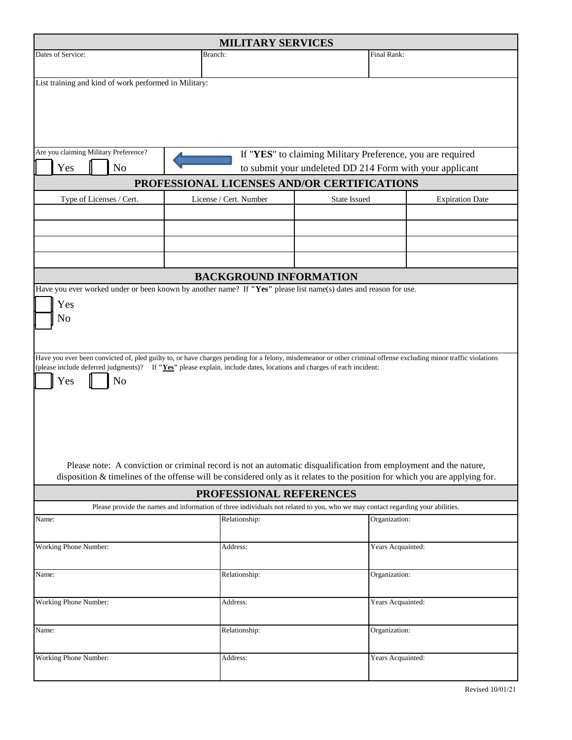| <b>MILITARY SERVICES</b>                                                                                                                                                                                                                                                                                                                                                                                                                                                                                                                                        |                                                                                                                                |                        |  |  |  |  |
|-----------------------------------------------------------------------------------------------------------------------------------------------------------------------------------------------------------------------------------------------------------------------------------------------------------------------------------------------------------------------------------------------------------------------------------------------------------------------------------------------------------------------------------------------------------------|--------------------------------------------------------------------------------------------------------------------------------|------------------------|--|--|--|--|
| Dates of Service:<br>Branch:                                                                                                                                                                                                                                                                                                                                                                                                                                                                                                                                    |                                                                                                                                | Final Rank:            |  |  |  |  |
| List training and kind of work performed in Military:                                                                                                                                                                                                                                                                                                                                                                                                                                                                                                           |                                                                                                                                |                        |  |  |  |  |
| Are you claiming Military Preference?<br>Yes<br>N <sub>o</sub>                                                                                                                                                                                                                                                                                                                                                                                                                                                                                                  | If "YES" to claiming Military Preference, you are required<br>to submit your undeleted DD 214 Form with your applicant         |                        |  |  |  |  |
|                                                                                                                                                                                                                                                                                                                                                                                                                                                                                                                                                                 | PROFESSIONAL LICENSES AND/OR CERTIFICATIONS                                                                                    |                        |  |  |  |  |
| Type of Licenses / Cert.                                                                                                                                                                                                                                                                                                                                                                                                                                                                                                                                        | License / Cert. Number<br>State Issued                                                                                         | <b>Expiration Date</b> |  |  |  |  |
|                                                                                                                                                                                                                                                                                                                                                                                                                                                                                                                                                                 |                                                                                                                                |                        |  |  |  |  |
| Have you ever worked under or been known by another name? If "Yes" please list name(s) dates and reason for use.                                                                                                                                                                                                                                                                                                                                                                                                                                                | <b>BACKGROUND INFORMATION</b>                                                                                                  |                        |  |  |  |  |
| No<br>Have you ever been convicted of, pled guilty to, or have charges pending for a felony, misdemeanor or other criminal offense excluding minor traffic violations<br>(please include deferred judgments)? If "Yes" please explain, include dates, locations and charges of each incident:<br>Yes<br>No<br>Please note: A conviction or criminal record is not an automatic disqualification from employment and the nature,<br>disposition & timelines of the offense will be considered only as it relates to the position for which you are applying for. |                                                                                                                                |                        |  |  |  |  |
|                                                                                                                                                                                                                                                                                                                                                                                                                                                                                                                                                                 | PROFESSIONAL REFERENCES                                                                                                        |                        |  |  |  |  |
|                                                                                                                                                                                                                                                                                                                                                                                                                                                                                                                                                                 | Please provide the names and information of three individuals not related to you, who we may contact regarding your abilities. |                        |  |  |  |  |
| Name:                                                                                                                                                                                                                                                                                                                                                                                                                                                                                                                                                           | Relationship:                                                                                                                  | Organization:          |  |  |  |  |
| Working Phone Number:                                                                                                                                                                                                                                                                                                                                                                                                                                                                                                                                           | Address:                                                                                                                       | Years Acquainted:      |  |  |  |  |
| Name:                                                                                                                                                                                                                                                                                                                                                                                                                                                                                                                                                           | Relationship:                                                                                                                  | Organization:          |  |  |  |  |
| Working Phone Number:                                                                                                                                                                                                                                                                                                                                                                                                                                                                                                                                           | Address:                                                                                                                       | Years Acquainted:      |  |  |  |  |
| Name:                                                                                                                                                                                                                                                                                                                                                                                                                                                                                                                                                           | Relationship:                                                                                                                  | Organization:          |  |  |  |  |
| Working Phone Number:                                                                                                                                                                                                                                                                                                                                                                                                                                                                                                                                           | Address:                                                                                                                       | Years Acquainted:      |  |  |  |  |

Revised 10/01/21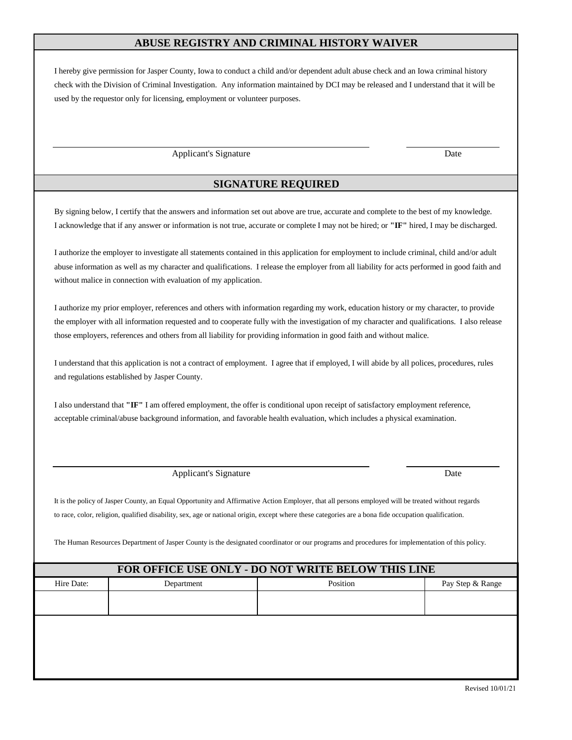### **ABUSE REGISTRY AND CRIMINAL HISTORY WAIVER**

I hereby give permission for Jasper County, Iowa to conduct a child and/or dependent adult abuse check and an Iowa criminal history check with the Division of Criminal Investigation. Any information maintained by DCI may be released and I understand that it will be used by the requestor only for licensing, employment or volunteer purposes.

Applicant's Signature Date

#### **SIGNATURE REQUIRED**

By signing below, I certify that the answers and information set out above are true, accurate and complete to the best of my knowledge. I acknowledge that if any answer or information is not true, accurate or complete I may not be hired; or **"IF"** hired, I may be discharged.

I authorize the employer to investigate all statements contained in this application for employment to include criminal, child and/or adult abuse information as well as my character and qualifications. I release the employer from all liability for acts performed in good faith and without malice in connection with evaluation of my application.

I authorize my prior employer, references and others with information regarding my work, education history or my character, to provide the employer with all information requested and to cooperate fully with the investigation of my character and qualifications. I also release those employers, references and others from all liability for providing information in good faith and without malice.

I understand that this application is not a contract of employment. I agree that if employed, I will abide by all polices, procedures, rules and regulations established by Jasper County.

I also understand that **"IF"** I am offered employment, the offer is conditional upon receipt of satisfactory employment reference, acceptable criminal/abuse background information, and favorable health evaluation, which includes a physical examination.

Applicant's Signature Date

It is the policy of Jasper County, an Equal Opportunity and Affirmative Action Employer, that all persons employed will be treated without regards to race, color, religion, qualified disability, sex, age or national origin, except where these categories are a bona fide occupation qualification.

The Human Resources Department of Jasper County is the designated coordinator or our programs and procedures for implementation of this policy.

#### **FOR OFFICE USE ONLY - DO NOT WRITE BELOW THIS LINE**

| TON OFFICE OSE ONE I - DO NOT WALLE BELOW THIS EINE |            |          |                  |  |  |  |  |
|-----------------------------------------------------|------------|----------|------------------|--|--|--|--|
| Hire Date:                                          | Department | Position | Pay Step & Range |  |  |  |  |
|                                                     |            |          |                  |  |  |  |  |
|                                                     |            |          |                  |  |  |  |  |
|                                                     |            |          |                  |  |  |  |  |
|                                                     |            |          |                  |  |  |  |  |
|                                                     |            |          |                  |  |  |  |  |
|                                                     |            |          |                  |  |  |  |  |
|                                                     |            |          |                  |  |  |  |  |